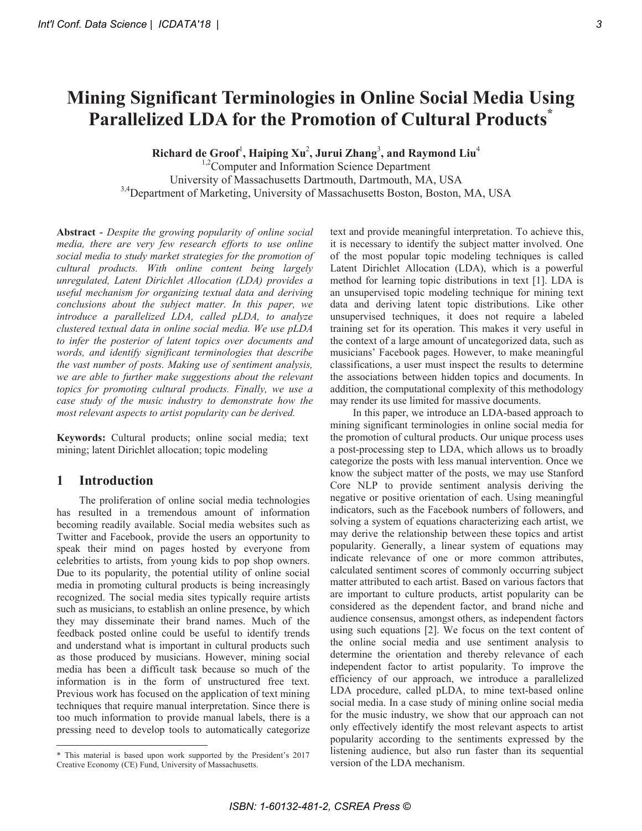# **Mining Significant Terminologies in Online Social Media Using Parallelized LDA for the Promotion of Cultural Products<sup>\*</sup>**

 $\mathbf{Richard}$  de Groof<sup>1</sup>, Haiping Xu<sup>2</sup>, Jurui Zhang<sup>3</sup>, and Raymond Liu<sup>4</sup>

<sup>1,2</sup>Computer and Information Science Department University of Massachusetts Dartmouth, Dartmouth, MA, USA 3,4 Department of Marketing, University of Massachusetts Boston, Boston, MA, USA

**Abstract** - *Despite the growing popularity of online social media, there are very few research efforts to use online social media to study market strategies for the promotion of cultural products. With online content being largely unregulated, Latent Dirichlet Allocation (LDA) provides a useful mechanism for organizing textual data and deriving conclusions about the subject matter. In this paper, we introduce a parallelized LDA, called pLDA, to analyze clustered textual data in online social media. We use pLDA to infer the posterior of latent topics over documents and words, and identify significant terminologies that describe the vast number of posts. Making use of sentiment analysis, we are able to further make suggestions about the relevant topics for promoting cultural products. Finally, we use a case study of the music industry to demonstrate how the most relevant aspects to artist popularity can be derived.* 

Keywords: Cultural products; online social media; text mining; latent Dirichlet allocation; topic modeling

# **1** Introduction

The proliferation of online social media technologies has resulted in a tremendous amount of information becoming readily available. Social media websites such as Twitter and Facebook, provide the users an opportunity to speak their mind on pages hosted by everyone from celebrities to artists, from young kids to pop shop owners. Due to its popularity, the potential utility of online social media in promoting cultural products is being increasingly recognized. The social media sites typically require artists such as musicians, to establish an online presence, by which they may disseminate their brand names. Much of the feedback posted online could be useful to identify trends and understand what is important in cultural products such as those produced by musicians. However, mining social media has been a difficult task because so much of the information is in the form of unstructured free text. Previous work has focused on the application of text mining techniques that require manual interpretation. Since there is too much information to provide manual labels, there is a pressing need to develop tools to automatically categorize text and provide meaningful interpretation. To achieve this, it is necessary to identify the subject matter involved. One of the most popular topic modeling techniques is called Latent Dirichlet Allocation (LDA), which is a powerful method for learning topic distributions in text [1]. LDA is an unsupervised topic modeling technique for mining text data and deriving latent topic distributions. Like other unsupervised techniques, it does not require a labeled training set for its operation. This makes it very useful in the context of a large amount of uncategorized data, such as musicians' Facebook pages. However, to make meaningful classifications, a user must inspect the results to determine the associations between hidden topics and documents. In addition, the computational complexity of this methodology may render its use limited for massive documents.

In this paper, we introduce an LDA-based approach to mining significant terminologies in online social media for the promotion of cultural products. Our unique process uses a post-processing step to LDA, which allows us to broadly categorize the posts with less manual intervention. Once we know the subject matter of the posts, we may use Stanford Core NLP to provide sentiment analysis deriving the negative or positive orientation of each. Using meaningful indicators, such as the Facebook numbers of followers, and solving a system of equations characterizing each artist, we may derive the relationship between these topics and artist popularity. Generally, a linear system of equations may indicate relevance of one or more common attributes, calculated sentiment scores of commonly occurring subject matter attributed to each artist. Based on various factors that are important to culture products, artist popularity can be considered as the dependent factor, and brand niche and audience consensus, amongst others, as independent factors using such equations  $[2]$ . We focus on the text content of the online social media and use sentiment analysis to determine the orientation and thereby relevance of each independent factor to artist popularity. To improve the efficiency of our approach, we introduce a parallelized LDA procedure, called pLDA, to mine text-based online social media. In a case study of mining online social media for the music industry, we show that our approach can not only effectively identify the most relevant aspects to artist popularity according to the sentiments expressed by the listening audience, but also run faster than its sequential version of the LDA mechanism.

<sup>&</sup>lt;u> 1989 - Johann Stein, fransk politik (d. 1989)</u> \* This material is based upon work supported by the President's 2017 Creative Economy (CE) Fund, University of Massachusetts.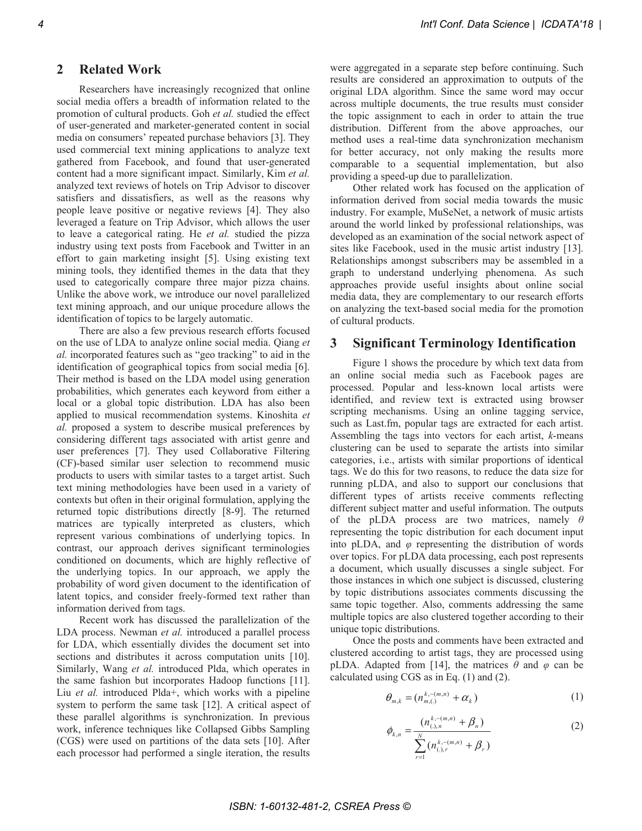#### **Related Work** 2

Researchers have increasingly recognized that online social media offers a breadth of information related to the promotion of cultural products. Goh et al. studied the effect of user-generated and marketer-generated content in social media on consumers' repeated purchase behaviors [3]. They used commercial text mining applications to analyze text gathered from Facebook, and found that user-generated content had a more significant impact. Similarly, Kim et al. analyzed text reviews of hotels on Trip Advisor to discover satisfiers and dissatisfiers, as well as the reasons why people leave positive or negative reviews [4]. They also leveraged a feature on Trip Advisor, which allows the user to leave a categorical rating. He et al. studied the pizza industry using text posts from Facebook and Twitter in an effort to gain marketing insight [5]. Using existing text mining tools, they identified themes in the data that they used to categorically compare three major pizza chains. Unlike the above work, we introduce our novel parallelized text mining approach, and our unique procedure allows the identification of topics to be largely automatic.

There are also a few previous research efforts focused on the use of LDA to analyze online social media. Qiang et al. incorporated features such as "geo tracking" to aid in the identification of geographical topics from social media [6]. Their method is based on the LDA model using generation probabilities, which generates each keyword from either a local or a global topic distribution. LDA has also been applied to musical recommendation systems. Kinoshita et al. proposed a system to describe musical preferences by considering different tags associated with artist genre and user preferences [7]. They used Collaborative Filtering (CF)-based similar user selection to recommend music products to users with similar tastes to a target artist. Such text mining methodologies have been used in a variety of contexts but often in their original formulation, applying the returned topic distributions directly [8-9]. The returned matrices are typically interpreted as clusters, which represent various combinations of underlying topics. In contrast, our approach derives significant terminologies conditioned on documents, which are highly reflective of the underlying topics. In our approach, we apply the probability of word given document to the identification of latent topics, and consider freely-formed text rather than information derived from tags.

Recent work has discussed the parallelization of the LDA process. Newman et al. introduced a parallel process for LDA, which essentially divides the document set into sections and distributes it across computation units [10]. Similarly, Wang et al. introduced Plda, which operates in the same fashion but incorporates Hadoop functions [11]. Liu et al. introduced Plda+, which works with a pipeline system to perform the same task [12]. A critical aspect of these parallel algorithms is synchronization. In previous work, inference techniques like Collapsed Gibbs Sampling (CGS) were used on partitions of the data sets [10]. After each processor had performed a single iteration, the results

were aggregated in a separate step before continuing. Such results are considered an approximation to outputs of the original LDA algorithm. Since the same word may occur across multiple documents, the true results must consider the topic assignment to each in order to attain the true distribution. Different from the above approaches, our method uses a real-time data synchronization mechanism for better accuracy, not only making the results more comparable to a sequential implementation, but also providing a speed-up due to parallelization.

Other related work has focused on the application of information derived from social media towards the music industry. For example, MuSeNet, a network of music artists around the world linked by professional relationships, was developed as an examination of the social network aspect of sites like Facebook, used in the music artist industry [13]. Relationships amongst subscribers may be assembled in a graph to understand underlying phenomena. As such approaches provide useful insights about online social media data, they are complementary to our research efforts on analyzing the text-based social media for the promotion of cultural products.

#### $\mathbf{3}$ **Significant Terminology Identification**

Figure 1 shows the procedure by which text data from an online social media such as Facebook pages are processed. Popular and less-known local artists were identified, and review text is extracted using browser scripting mechanisms. Using an online tagging service, such as Last.fm, popular tags are extracted for each artist. Assembling the tags into vectors for each artist,  $k$ -means clustering can be used to separate the artists into similar categories, i.e., artists with similar proportions of identical tags. We do this for two reasons, to reduce the data size for running pLDA, and also to support our conclusions that different types of artists receive comments reflecting different subject matter and useful information. The outputs of the pLDA process are two matrices, namely  $\theta$ representing the topic distribution for each document input into pLDA, and  $\varphi$  representing the distribution of words over topics. For pLDA data processing, each post represents a document, which usually discusses a single subject. For those instances in which one subject is discussed, clustering by topic distributions associates comments discussing the same topic together. Also, comments addressing the same multiple topics are also clustered together according to their unique topic distributions.

Once the posts and comments have been extracted and clustered according to artist tags, they are processed using pLDA. Adapted from [14], the matrices  $\theta$  and  $\varphi$  can be calculated using CGS as in Eq.  $(1)$  and  $(2)$ .

$$
\theta_{m,k} = (n_{m,(.)}^{k,-(m,n)} + \alpha_k)
$$
 (1)

$$
\phi_{k,n} = \frac{(n_{(i),n}^{k,-(m,n)} + \beta_n)}{\sum_{r=1}^{N} (n_{(i),r}^{k,-(m,n)} + \beta_r)}
$$
(2)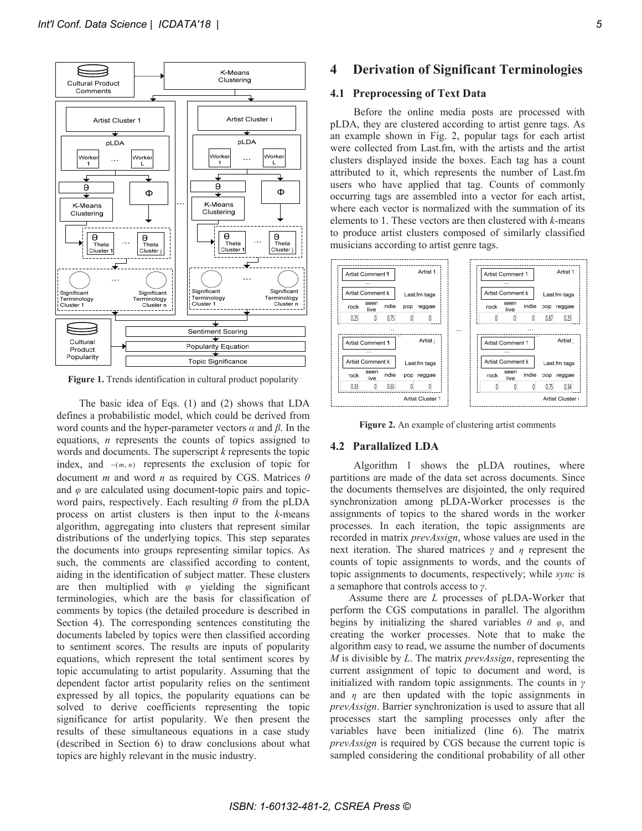

Figure 1. Trends identification in cultural product popularity

The basic idea of Eqs.  $(1)$  and  $(2)$  shows that LDA defines a probabilistic model, which could be derived from word counts and the hyper-parameter vectors  $\alpha$  and  $\beta$ . In the equations,  $n$  represents the counts of topics assigned to words and documents. The superscript  $k$  represents the topic index, and  $-(m, n)$  represents the exclusion of topic for document  $m$  and word  $n$  as required by CGS. Matrices  $\theta$ and  $\varphi$  are calculated using document-topic pairs and topicword pairs, respectively. Each resulting  $\theta$  from the pLDA process on artist clusters is then input to the k-means algorithm, aggregating into clusters that represent similar distributions of the underlying topics. This step separates the documents into groups representing similar topics. As such, the comments are classified according to content, aiding in the identification of subject matter. These clusters are then multiplied with  $\varphi$  yielding the significant terminologies, which are the basis for classification of comments by topics (the detailed procedure is described in Section 4). The corresponding sentences constituting the documents labeled by topics were then classified according to sentiment scores. The results are inputs of popularity equations, which represent the total sentiment scores by topic accumulating to artist popularity. Assuming that the dependent factor artist popularity relies on the sentiment expressed by all topics, the popularity equations can be solved to derive coefficients representing the topic significance for artist popularity. We then present the results of these simultaneous equations in a case study (described in Section 6) to draw conclusions about what topics are highly relevant in the music industry.

#### **Derivation of Significant Terminologies**  $\overline{\mathbf{4}}$

### 4.1 Preprocessing of Text Data

Before the online media posts are processed with pLDA, they are clustered according to artist genre tags. As an example shown in Fig. 2, popular tags for each artist were collected from Last.fm, with the artists and the artist clusters displayed inside the boxes. Each tag has a count attributed to it, which represents the number of Last.fm users who have applied that tag. Counts of commonly occurring tags are assembled into a vector for each artist, where each vector is normalized with the summation of its elements to 1. These vectors are then clustered with  $k$ -means to produce artist clusters composed of similarly classified musicians according to artist genre tags.



Figure 2. An example of clustering artist comments

### **4.2 Parallalized LDA**

Algorithm 1 shows the pLDA routines, where partitions are made of the data set across documents. Since the documents themselves are disjointed, the only required synchronization among pLDA-Worker processes is the assignments of topics to the shared words in the worker processes. In each iteration, the topic assignments are recorded in matrix *prevAssign*, whose values are used in the next iteration. The shared matrices  $\gamma$  and  $\eta$  represent the counts of topic assignments to words, and the counts of topic assignments to documents, respectively; while *sync* is a semaphore that controls access to  $\gamma$ .

Assume there are L processes of pLDA-Worker that perform the CGS computations in parallel. The algorithm begins by initializing the shared variables  $\theta$  and  $\varphi$ , and creating the worker processes. Note that to make the algorithm easy to read, we assume the number of documents M is divisible by  $L$ . The matrix *prevassign*, representing the current assignment of topic to document and word, is initialized with random topic assignments. The counts in  $\gamma$ and  $\eta$  are then updated with the topic assignments in prevAssign. Barrier synchronization is used to assure that all processes start the sampling processes only after the variables have been initialized (line 6). The matrix prevAssign is required by CGS because the current topic is sampled considering the conditional probability of all other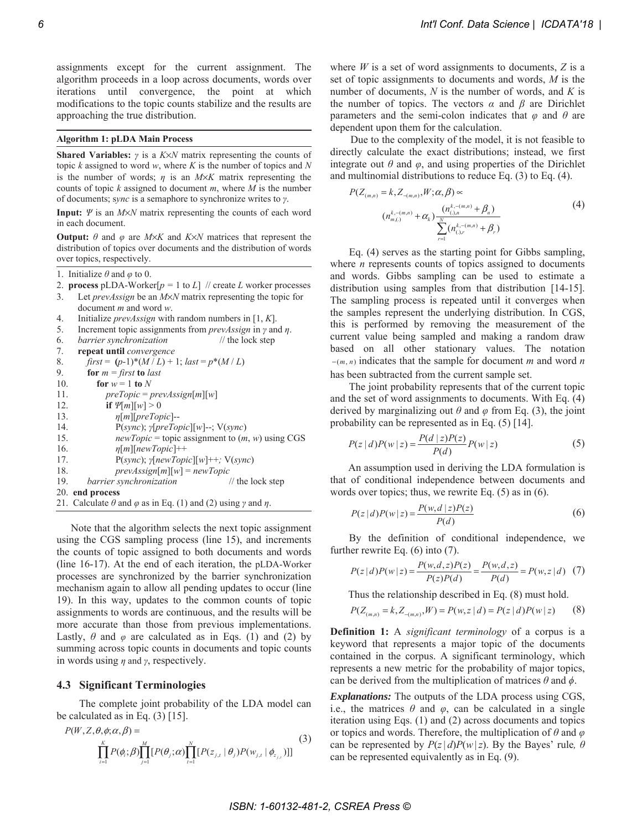assignments except for the current assignment. The algorithm proceeds in a loop across documents, words over iterations until convergence, the point at which modifications to the topic counts stabilize and the results are approaching the true distribution.

### **Algorithm 1: pLDA Main Process**

**Shared Variables:**  $\gamma$  is a K $\times$ N matrix representing the counts of topic  $k$  assigned to word  $w$ , where  $K$  is the number of topics and  $N$ is the number of words;  $\eta$  is an M $\times$ K matrix representing the counts of topic  $k$  assigned to document  $m$ , where  $M$  is the number of documents; sync is a semaphore to synchronize writes to  $\gamma$ .

Input:  $\Psi$  is an  $M \times N$  matrix representing the counts of each word in each document.

**Output:**  $\theta$  and  $\varphi$  are M $\times$ K and K $\times$ N matrices that represent the distribution of topics over documents and the distribution of words over topics, respectively.

- 1. Initialize  $\theta$  and  $\varphi$  to 0.
- 2. process pLDA-Worker $[p = 1$  to L] // create L worker processes
- $3.$ Let *prevAssign* be an  $M \times N$  matrix representing the topic for document  $m$  and word  $w$ .
- $\overline{4}$ . Initialize *prevAssign* with random numbers in [1,  $K$ ].
- 5. Increment topic assignments from *prevAssign* in  $\gamma$  and  $\eta$ .
- barrier synchronization // the lock step 6.
- 7. repeat until convergence
- $first = (p-1)*(M/L) + 1; last = p*(M/L)$ 8.
- 9. for  $m = first$  to last
- 10. for  $w = 1$  to N
- $preTopic = prevAssign[m][w]$ 11 if  $\mathcal{V}[m][w] > 0$  $12.$  $13.$  $\eta[m][preTopic] -$ 14.  $P(sync); \gamma[preTopic][w]$ --;  $V(sync)$ 15.  $newTopic = topic$  assignment to  $(m, w)$  using CGS 16  $\eta[m][newTopic]++$ 17.  $P(sync); \gamma[newTopic][w]++; V(sync)$ 18.  $prevAssign[m][w] = newTopic$ 19. barrier synchronization // the lock step 20. end process
- 21. Calculate  $\theta$  and  $\varphi$  as in Eq. (1) and (2) using  $\gamma$  and  $\eta$ .

Note that the algorithm selects the next topic assignment using the CGS sampling process (line 15), and increments the counts of topic assigned to both documents and words (line 16-17). At the end of each iteration, the pLDA-Worker processes are synchronized by the barrier synchronization mechanism again to allow all pending updates to occur (line 19). In this way, updates to the common counts of topic assignments to words are continuous, and the results will be more accurate than those from previous implementations. Lastly,  $\theta$  and  $\varphi$  are calculated as in Eqs. (1) and (2) by summing across topic counts in documents and topic counts in words using  $\eta$  and  $\gamma$ , respectively.

### 4.3 Significant Terminologies

The complete joint probability of the LDA model can be calculated as in Eq.  $(3)$  [15].

$$
P(W, Z, \theta, \phi; \alpha, \beta) = \prod_{i=1}^{K} P(\phi_i; \beta) \prod_{j=1}^{M} [P(\theta_j; \alpha) \prod_{i=1}^{N} [P(z_{j,i} \mid \theta_j) P(w_{j,i} \mid \phi_{z_{j,i}})]]
$$
(3)

where  $W$  is a set of word assignments to documents,  $Z$  is a set of topic assignments to documents and words,  $M$  is the number of documents,  $N$  is the number of words, and  $K$  is the number of topics. The vectors  $\alpha$  and  $\beta$  are Dirichlet parameters and the semi-colon indicates that  $\varphi$  and  $\theta$  are dependent upon them for the calculation.

Due to the complexity of the model, it is not feasible to directly calculate the exact distributions; instead, we first integrate out  $\theta$  and  $\varphi$ , and using properties of the Dirichlet and multinomial distributions to reduce Eq.  $(3)$  to Eq.  $(4)$ .

$$
P(Z_{(m,n)} = k, Z_{-(m,n)}, W; \alpha, \beta) \propto
$$
  
\n
$$
(n_{m,(.)}^{k,-(m,n)} + \alpha_k) \frac{(n_{(.),n}^{k,-(m,n)} + \beta_n)}{\sum_{r=1}^{N} (n_{(.),r}^{k,-(m,n)} + \beta_r)}
$$
\n
$$
(4)
$$

Eq. (4) serves as the starting point for Gibbs sampling, where  $n$  represents counts of topics assigned to documents and words. Gibbs sampling can be used to estimate a distribution using samples from that distribution [14-15]. The sampling process is repeated until it converges when the samples represent the underlying distribution. In CGS, this is performed by removing the measurement of the current value being sampled and making a random draw based on all other stationary values. The notation  $-(m, n)$  indicates that the sample for document m and word n has been subtracted from the current sample set.

The joint probability represents that of the current topic and the set of word assignments to documents. With Eq. (4) derived by marginalizing out  $\theta$  and  $\varphi$  from Eq. (3), the joint probability can be represented as in Eq.  $(5)$  [14].

$$
P(z | d)P(w | z) = \frac{P(d | z)P(z)}{P(d)}P(w | z)
$$
 (5)

An assumption used in deriving the LDA formulation is that of conditional independence between documents and words over topics; thus, we rewrite Eq.  $(5)$  as in  $(6)$ .

$$
P(z | d)P(w | z) = \frac{P(w, d | z)P(z)}{P(d)}
$$
(6)

By the definition of conditional independence, we further rewrite Eq.  $(6)$  into  $(7)$ .

$$
P(z | d)P(w | z) = \frac{P(w, d, z)P(z)}{P(z)P(d)} = \frac{P(w, d, z)}{P(d)} = P(w, z | d) \tag{7}
$$

Thus the relationship described in Eq.  $(8)$  must hold.

$$
P(Z_{(m,n)} = k, Z_{-(m,n)}, W) = P(w, z | d) = P(z | d)P(w | z)
$$
 (8)

**Definition 1:** A *significant terminology* of a corpus is a keyword that represents a major topic of the documents contained in the corpus. A significant terminology, which represents a new metric for the probability of major topics, can be derived from the multiplication of matrices  $\theta$  and  $\phi$ .

*Explanations:* The outputs of the LDA process using CGS, i.e., the matrices  $\theta$  and  $\varphi$ , can be calculated in a single iteration using Eqs. (1) and (2) across documents and topics or topics and words. Therefore, the multiplication of  $\theta$  and  $\varphi$ can be represented by  $P(z|d)P(w|z)$ . By the Bayes' rule,  $\theta$ can be represented equivalently as in Eq. (9).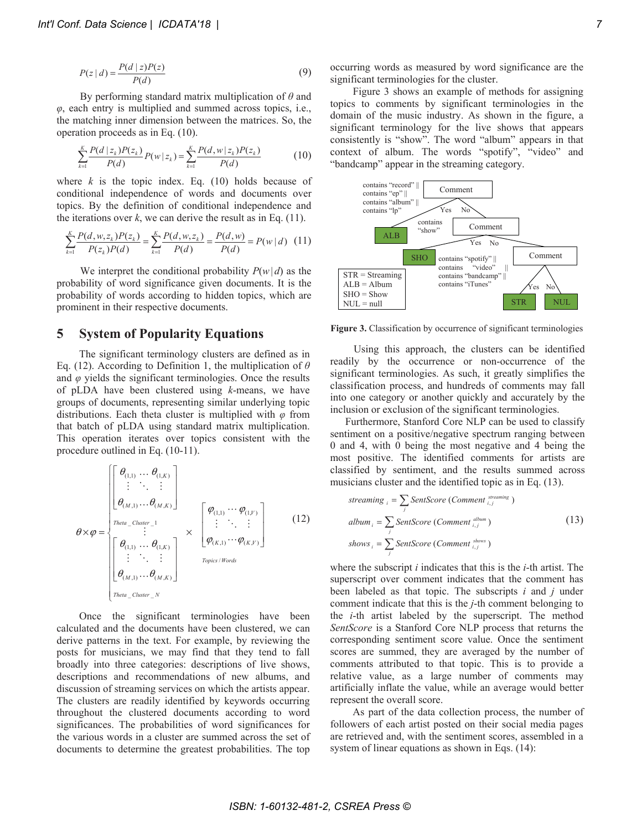$$
P(z | d) = \frac{P(d | z)P(z)}{P(d)}\tag{9}
$$

By performing standard matrix multiplication of  $\theta$  and  $\varphi$ , each entry is multiplied and summed across topics, i.e., the matching inner dimension between the matrices. So, the operation proceeds as in Eq.  $(10)$ .

$$
\sum_{k=1}^{K} \frac{P(d \mid z_k)P(z_k)}{P(d)} P(w \mid z_k) = \sum_{k=1}^{K} \frac{P(d, w \mid z_k)P(z_k)}{P(d)} \tag{10}
$$

where  $k$  is the topic index. Eq. (10) holds because of conditional independence of words and documents over topics. By the definition of conditional independence and the iterations over  $k$ , we can derive the result as in Eq. (11).

$$
\sum_{k=1}^{K} \frac{P(d, w, z_k)P(z_k)}{P(z_k)P(d)} = \sum_{k=1}^{K} \frac{P(d, w, z_k)}{P(d)} = \frac{P(d, w)}{P(d)} = P(w | d) \quad (11)
$$

We interpret the conditional probability  $P(w|d)$  as the probability of word significance given documents. It is the probability of words according to hidden topics, which are prominent in their respective documents.

### 5 **System of Popularity Equations**

The significant terminology clusters are defined as in Eq. (12). According to Definition 1, the multiplication of  $\theta$ and  $\varphi$  yields the significant terminologies. Once the results of pLDA have been clustered using  $k$ -means, we have groups of documents, representing similar underlying topic distributions. Each theta cluster is multiplied with  $\varphi$  from that batch of pLDA using standard matrix multiplication. This operation iterates over topics consistent with the procedure outlined in Eq. (10-11).

$$
\theta \times \varphi = \begin{bmatrix}\n\theta_{(1,1)} \dots \theta_{(1,K)} \\
\vdots \ddots \vdots \\
\theta_{(M,1)} \dots \theta_{(M,K)}\n\end{bmatrix} \times \begin{bmatrix}\n\varphi_{(1,1)} \dots \varphi_{(1,V)} \\
\vdots \ddots \vdots \\
\varphi_{(1,1)} \dots \varphi_{(1,V)}\n\end{bmatrix}
$$
\n(12)\n
$$
\theta \times \varphi = \begin{bmatrix}\n\theta_{(1,1)} \dots \theta_{(1,K)} \\
\vdots \ddots \vdots \\
\theta_{(1,1)} \dots \theta_{(1,K)}\n\end{bmatrix} \times \begin{bmatrix}\n\varphi_{(1,1)} \dots \varphi_{(1,V)} \\
\vdots \ddots \vdots \\
\varphi_{(K,1)} \dots \varphi_{(K,V)}\n\end{bmatrix}
$$

Once the significant terminologies have been calculated and the documents have been clustered, we can derive patterns in the text. For example, by reviewing the posts for musicians, we may find that they tend to fall broadly into three categories: descriptions of live shows, descriptions and recommendations of new albums, and discussion of streaming services on which the artists appear. The clusters are readily identified by keywords occurring throughout the clustered documents according to word significances. The probabilities of word significances for the various words in a cluster are summed across the set of documents to determine the greatest probabilities. The top

occurring words as measured by word significance are the significant terminologies for the cluster.

Figure 3 shows an example of methods for assigning topics to comments by significant terminologies in the domain of the music industry. As shown in the figure, a significant terminology for the live shows that appears consistently is "show". The word "album" appears in that context of album. The words "spotify", "video" and "bandcamp" appear in the streaming category.



Figure 3. Classification by occurrence of significant terminologies

Using this approach, the clusters can be identified readily by the occurrence or non-occurrence of the significant terminologies. As such, it greatly simplifies the classification process, and hundreds of comments may fall into one category or another quickly and accurately by the inclusion or exclusion of the significant terminologies.

Furthermore, Stanford Core NLP can be used to classify sentiment on a positive/negative spectrum ranging between 0 and 4, with 0 being the most negative and 4 being the most positive. The identified comments for artists are classified by sentiment, and the results summed across musicians cluster and the identified topic as in Eq. (13).

streaming 
$$
_i = \sum_j
$$
 SentScore (Comment  $^{steaming}_{i,j}$ )  
album  $_i = \sum_j$  SentScore (Comment  $^{album}_{i,j}$ )  
shows  $_i = \sum_j$  SentScore (Comment  $^{shows}_{i,j}$ ) (13)

where the subscript *i* indicates that this is the *i*-th artist. The superscript over comment indicates that the comment has been labeled as that topic. The subscripts  $i$  and  $j$  under comment indicate that this is the  $j$ -th comment belonging to the *i*-th artist labeled by the superscript. The method SentScore is a Stanford Core NLP process that returns the corresponding sentiment score value. Once the sentiment scores are summed, they are averaged by the number of comments attributed to that topic. This is to provide a relative value, as a large number of comments may artificially inflate the value, while an average would better represent the overall score.

As part of the data collection process, the number of followers of each artist posted on their social media pages are retrieved and, with the sentiment scores, assembled in a system of linear equations as shown in Eqs. (14):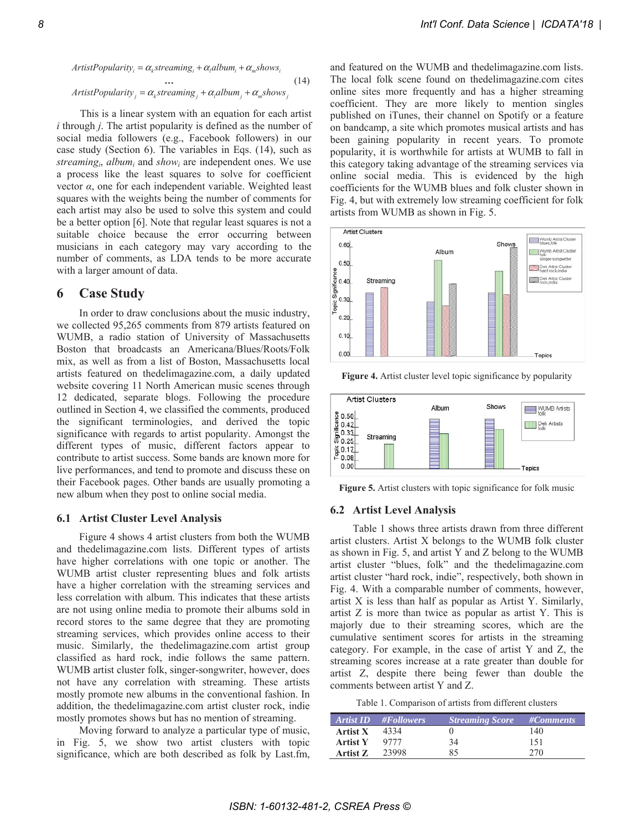*ArtistPopularity<sub>i</sub>* = 
$$
\alpha_k
$$
 *streaming<sub>i</sub>* +  $\alpha_l$  *album<sub>i</sub>* +  $\alpha_m$  *shows<sub>i</sub>*  
...  
*ArtistPopularity<sub>j</sub>* =  $\alpha_k$  *streaming<sub>j</sub>* +  $\alpha_l$  *album<sub>j</sub>* +  $\alpha_m$  *shows<sub>j</sub>* (14)

This is a linear system with an equation for each artist  $i$  through  $j$ . The artist popularity is defined as the number of social media followers (e.g., Facebook followers) in our case study (Section 6). The variables in Eqs. (14), such as streaming<sub>i</sub>, album<sub>i</sub> and show<sub>i</sub> are independent ones. We use a process like the least squares to solve for coefficient vector  $\alpha$ , one for each independent variable. Weighted least squares with the weights being the number of comments for each artist may also be used to solve this system and could be a better option [6]. Note that regular least squares is not a suitable choice because the error occurring between musicians in each category may vary according to the number of comments, as LDA tends to be more accurate with a larger amount of data.

#### **Case Study** 6

In order to draw conclusions about the music industry, we collected 95,265 comments from 879 artists featured on WUMB, a radio station of University of Massachusetts Boston that broadcasts an Americana/Blues/Roots/Folk mix, as well as from a list of Boston, Massachusetts local artists featured on the delimagazine.com, a daily updated website covering 11 North American music scenes through 12 dedicated, separate blogs. Following the procedure outlined in Section 4, we classified the comments, produced the significant terminologies, and derived the topic significance with regards to artist popularity. Amongst the different types of music, different factors appear to contribute to artist success. Some bands are known more for live performances, and tend to promote and discuss these on their Facebook pages. Other bands are usually promoting a new album when they post to online social media.

## **6.1 Artist Cluster Level Analysis**

Figure 4 shows 4 artist clusters from both the WUMB and thedelimagazine.com lists. Different types of artists have higher correlations with one topic or another. The WUMB artist cluster representing blues and folk artists have a higher correlation with the streaming services and less correlation with album. This indicates that these artists are not using online media to promote their albums sold in record stores to the same degree that they are promoting streaming services, which provides online access to their music. Similarly, the thedelimagazine.com artist group classified as hard rock, indie follows the same pattern. WUMB artist cluster folk, singer-songwriter, however, does not have any correlation with streaming. These artists mostly promote new albums in the conventional fashion. In addition, the the delimagazine.com artist cluster rock, indie mostly promotes shows but has no mention of streaming.

Moving forward to analyze a particular type of music, in Fig. 5, we show two artist clusters with topic significance, which are both described as folk by Last.fm, and featured on the WUMB and thedelimagazine.com lists. The local folk scene found on thedelimagazine.com cites online sites more frequently and has a higher streaming coefficient. They are more likely to mention singles published on iTunes, their channel on Spotify or a feature on bandcamp, a site which promotes musical artists and has been gaining popularity in recent years. To promote popularity, it is worthwhile for artists at WUMB to fall in this category taking advantage of the streaming services via online social media. This is evidenced by the high coefficients for the WUMB blues and folk cluster shown in Fig. 4, but with extremely low streaming coefficient for folk artists from WUMB as shown in Fig. 5.







Figure 5. Artist clusters with topic significance for folk music

### **6.2 Artist Level Analysis**

Table 1 shows three artists drawn from three different artist clusters. Artist X belongs to the WUMB folk cluster as shown in Fig. 5, and artist Y and Z belong to the WUMB artist cluster "blues, folk" and the thedelimagazine.com artist cluster "hard rock, indie", respectively, both shown in Fig. 4. With a comparable number of comments, however, artist X is less than half as popular as Artist Y. Similarly, artist  $Z$  is more than twice as popular as artist  $Y$ . This is majorly due to their streaming scores, which are the cumulative sentiment scores for artists in the streaming category. For example, in the case of artist Y and Z, the streaming scores increase at a rate greater than double for artist Z, despite there being fewer than double the comments between artist Y and Z.

|  |  | Table 1. Comparison of artists from different clusters |
|--|--|--------------------------------------------------------|

|                 | Artist ID #Followers | <b>Streaming Score</b> #Comments |     |
|-----------------|----------------------|----------------------------------|-----|
| <b>Artist X</b> | 4334                 |                                  | 140 |
| <b>Artist Y</b> | 9777                 | 34                               | 151 |
| Artist Z        | 23998                | 85                               | 270 |